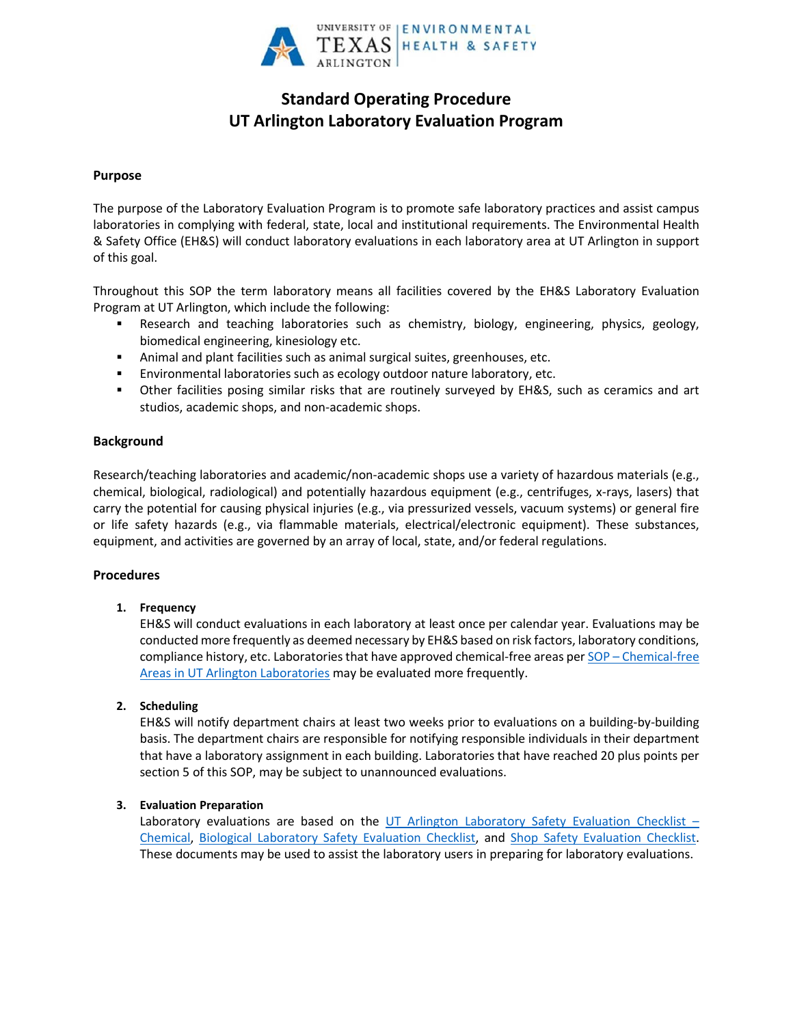

# **Standard Operating Procedure UT Arlington Laboratory Evaluation Program**

## **Purpose**

The purpose of the Laboratory Evaluation Program is to promote safe laboratory practices and assist campus laboratories in complying with federal, state, local and institutional requirements. The Environmental Health & Safety Office (EH&S) will conduct laboratory evaluations in each laboratory area at UT Arlington in support of this goal.

Throughout this SOP the term laboratory means all facilities covered by the EH&S Laboratory Evaluation Program at UT Arlington, which include the following:

- Research and teaching laboratories such as chemistry, biology, engineering, physics, geology, biomedical engineering, kinesiology etc.
- Animal and plant facilities such as animal surgical suites, greenhouses, etc.
- Environmental laboratories such as ecology outdoor nature laboratory, etc.
- Other facilities posing similar risks that are routinely surveyed by EH&S, such as ceramics and art studios, academic shops, and non-academic shops.

# **Background**

Research/teaching laboratories and academic/non-academic shops use a variety of hazardous materials (e.g., chemical, biological, radiological) and potentially hazardous equipment (e.g., centrifuges, x-rays, lasers) that carry the potential for causing physical injuries (e.g., via pressurized vessels, vacuum systems) or general fire or life safety hazards (e.g., via flammable materials, electrical/electronic equipment). These substances, equipment, and activities are governed by an array of local, state, and/or federal regulations.

# **Procedures**

# **1. Frequency**

EH&S will conduct evaluations in each laboratory at least once per calendar year. Evaluations may be conducted more frequently as deemed necessary by EH&S based on risk factors, laboratory conditions, compliance history, etc. Laboratories that have approved chemical-free areas per SOP – [Chemical-free](http://www.uta.edu/campus-ops/ehs/chemical/docs/SOP-chemical-free-areas.pdf)  [Areas in UT Arlington Laboratories](http://www.uta.edu/campus-ops/ehs/chemical/docs/SOP-chemical-free-areas.pdf) may be evaluated more frequently.

# **2. Scheduling**

EH&S will notify department chairs at least two weeks prior to evaluations on a building-by-building basis. The department chairs are responsible for notifying responsible individuals in their department that have a laboratory assignment in each building. Laboratories that have reached 20 plus points per section 5 of this SOP, may be subject to unannounced evaluations.

#### **3. Evaluation Preparation**

Laboratory evaluations are based on the [UT Arlington Laboratory Safety Evaluation Checklist](http://www.uta.edu/campus-ops/ehs/chemical/docs/Chemical-Lab-Evaluation-Checklist.pdf)  $-$ [Chemical,](http://www.uta.edu/campus-ops/ehs/chemical/docs/Chemical-Lab-Evaluation-Checklist.pdf) Biological Laboratory [Safety Evaluation Checklist,](http://www.uta.edu/campus-ops/ehs/chemical/docs/Biological-Lab-Evaluation-Checklist.pdf) and [Shop Safety Evaluation Checklist.](http://www.uta.edu/campus-ops/ehs/chemical/docs/Shop-Safety-Evaluation-Checklist.pdf)  These documents may be used to assist the laboratory users in preparing for laboratory evaluations.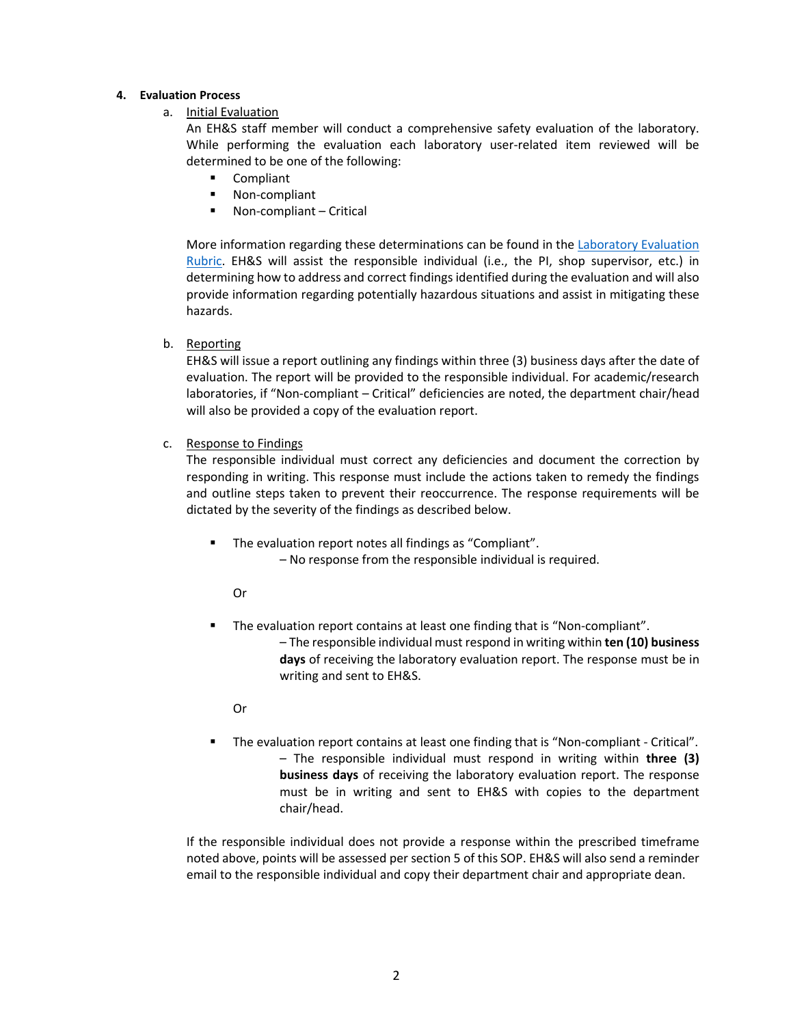#### **4. Evaluation Process**

a. Initial Evaluation

An EH&S staff member will conduct a comprehensive safety evaluation of the laboratory. While performing the evaluation each laboratory user-related item reviewed will be determined to be one of the following:

- **Compliant**
- **Non-compliant**
- Non-compliant Critical

More information regarding these determinations can be found in the [Laboratory Evaluation](http://www.uta.edu/campus-ops/ehs/chemical/docs/UTA-lab-evaluation-rubric.pdf)  [Rubric.](http://www.uta.edu/campus-ops/ehs/chemical/docs/UTA-lab-evaluation-rubric.pdf) EH&S will assist the responsible individual (i.e., the PI, shop supervisor, etc.) in determining how to address and correct findings identified during the evaluation and will also provide information regarding potentially hazardous situations and assist in mitigating these hazards.

b. Reporting

EH&S will issue a report outlining any findings within three (3) business days after the date of evaluation. The report will be provided to the responsible individual. For academic/research laboratories, if "Non-compliant – Critical" deficiencies are noted, the department chair/head will also be provided a copy of the evaluation report.

c. Response to Findings

The responsible individual must correct any deficiencies and document the correction by responding in writing. This response must include the actions taken to remedy the findings and outline steps taken to prevent their reoccurrence. The response requirements will be dictated by the severity of the findings as described below.

The evaluation report notes all findings as "Compliant".

– No response from the responsible individual is required.

Or

 The evaluation report contains at least one finding that is "Non-compliant". – The responsible individual must respond in writing within **ten (10) business days** of receiving the laboratory evaluation report. The response must be in writing and sent to EH&S.

Or

 The evaluation report contains at least one finding that is "Non-compliant - Critical". – The responsible individual must respond in writing within **three (3) business days** of receiving the laboratory evaluation report. The response must be in writing and sent to EH&S with copies to the department chair/head.

If the responsible individual does not provide a response within the prescribed timeframe noted above, points will be assessed per section 5 of this SOP. EH&S will also send a reminder email to the responsible individual and copy their department chair and appropriate dean.